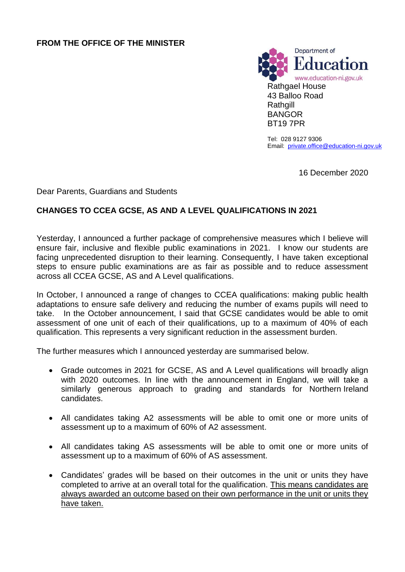

Tel: 028 9127 9306 Email: [private.office@education-ni.gov.uk](mailto:private.office@education-ni.gov.uk)

16 December 2020

Dear Parents, Guardians and Students

## **CHANGES TO CCEA GCSE, AS AND A LEVEL QUALIFICATIONS IN 2021**

Yesterday, I announced a further package of comprehensive measures which I believe will ensure fair, inclusive and flexible public examinations in 2021. I know our students are facing unprecedented disruption to their learning. Consequently, I have taken exceptional steps to ensure public examinations are as fair as possible and to reduce assessment across all CCEA GCSE, AS and A Level qualifications.

In October, I announced a range of changes to CCEA qualifications: making public health adaptations to ensure safe delivery and reducing the number of exams pupils will need to take. In the October announcement, I said that GCSE candidates would be able to omit assessment of one unit of each of their qualifications, up to a maximum of 40% of each qualification. This represents a very significant reduction in the assessment burden.

The further measures which I announced yesterday are summarised below.

- Grade outcomes in 2021 for GCSE, AS and A Level qualifications will broadly align with 2020 outcomes. In line with the announcement in England, we will take a similarly generous approach to grading and standards for Northern Ireland candidates.
- All candidates taking A2 assessments will be able to omit one or more units of assessment up to a maximum of 60% of A2 assessment.
- All candidates taking AS assessments will be able to omit one or more units of assessment up to a maximum of 60% of AS assessment.
- Candidates' grades will be based on their outcomes in the unit or units they have completed to arrive at an overall total for the qualification. This means candidates are always awarded an outcome based on their own performance in the unit or units they have taken.